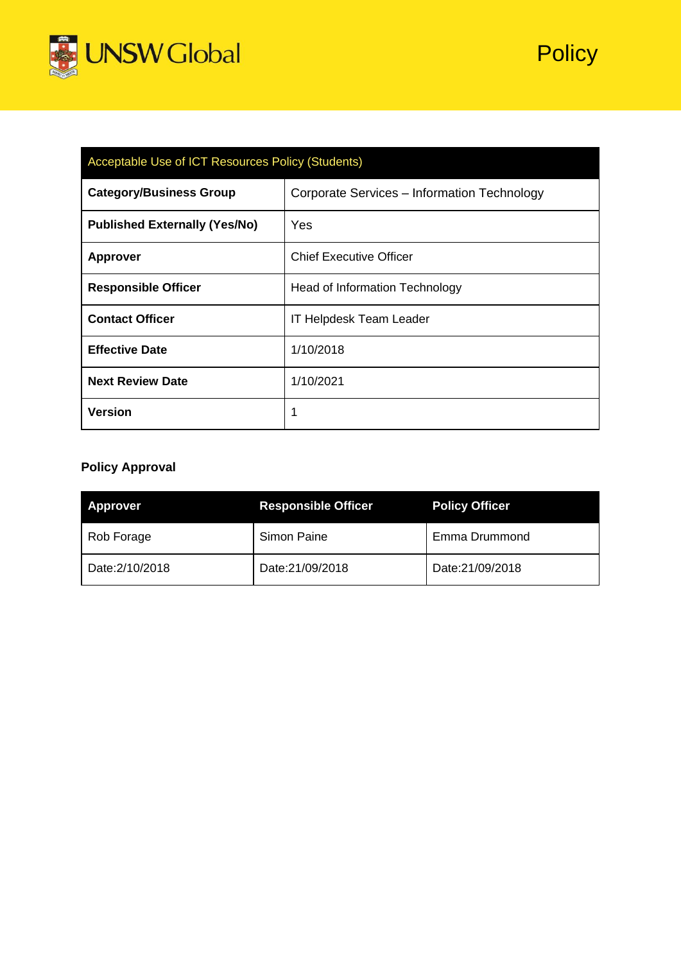

| Acceptable Use of ICT Resources Policy (Students) |                                             |  |  |
|---------------------------------------------------|---------------------------------------------|--|--|
| <b>Category/Business Group</b>                    | Corporate Services - Information Technology |  |  |
| <b>Published Externally (Yes/No)</b>              | Yes                                         |  |  |
| <b>Approver</b>                                   | <b>Chief Executive Officer</b>              |  |  |
| <b>Responsible Officer</b>                        | <b>Head of Information Technology</b>       |  |  |
| <b>Contact Officer</b>                            | <b>IT Helpdesk Team Leader</b>              |  |  |
| <b>Effective Date</b>                             | 1/10/2018                                   |  |  |
| <b>Next Review Date</b>                           | 1/10/2021                                   |  |  |
| <b>Version</b>                                    | 1                                           |  |  |

# **Policy Approval**

| <b>Approver</b> | <b>Responsible Officer</b> | <b>Policy Officer</b> |
|-----------------|----------------------------|-----------------------|
| Rob Forage      | Simon Paine                | Emma Drummond         |
| Date: 2/10/2018 | Date:21/09/2018            | Date:21/09/2018       |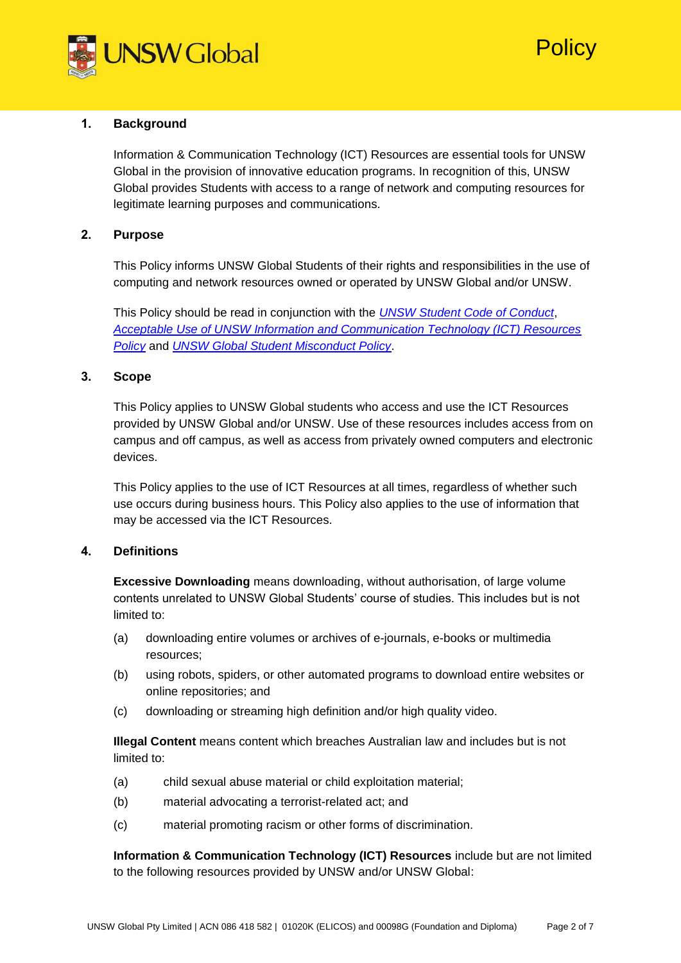

Policy

# **1. Background**

Information & Communication Technology (ICT) Resources are essential tools for UNSW Global in the provision of innovative education programs. In recognition of this, UNSW Global provides Students with access to a range of network and computing resources for legitimate learning purposes and communications.

# **2. Purpose**

This Policy informs UNSW Global Students of their rights and responsibilities in the use of computing and network resources owned or operated by UNSW Global and/or UNSW.

This Policy should be read in conjunction with the *[UNSW Student Code of Conduct](https://www.gs.unsw.edu.au/policy/documents/studentcodepolicy.pdf)*, *[Acceptable Use of UNSW Information and Communication Technology \(ICT\) Resources](https://www.gs.unsw.edu.au/policy/documents/ictpolicy.pdf)  [Policy](https://www.gs.unsw.edu.au/policy/documents/ictpolicy.pdf)* and *[UNSW Global Student Misconduct Policy](https://s3-ap-southeast-1.amazonaws.com/unswglobal-sg-wp1/wp-content/uploads/2018/08/01112830/Student-Misconduct-Policy.pdf)*.

# **3. Scope**

This Policy applies to UNSW Global students who access and use the ICT Resources provided by UNSW Global and/or UNSW. Use of these resources includes access from on campus and off campus, as well as access from privately owned computers and electronic devices.

This Policy applies to the use of ICT Resources at all times, regardless of whether such use occurs during business hours. This Policy also applies to the use of information that may be accessed via the ICT Resources.

# **4. Definitions**

**Excessive Downloading** means downloading, without authorisation, of large volume contents unrelated to UNSW Global Students' course of studies. This includes but is not limited to:

- (a) downloading entire volumes or archives of e-journals, e-books or multimedia resources;
- (b) using robots, spiders, or other automated programs to download entire websites or online repositories; and
- (c) downloading or streaming high definition and/or high quality video.

**Illegal Content** means content which breaches Australian law and includes but is not limited to:

- (a) child sexual abuse material or child exploitation material;
- (b) material advocating a terrorist-related act; and
- (c) material promoting racism or other forms of discrimination.

**Information & Communication Technology (ICT) Resources** include but are not limited to the following resources provided by UNSW and/or UNSW Global: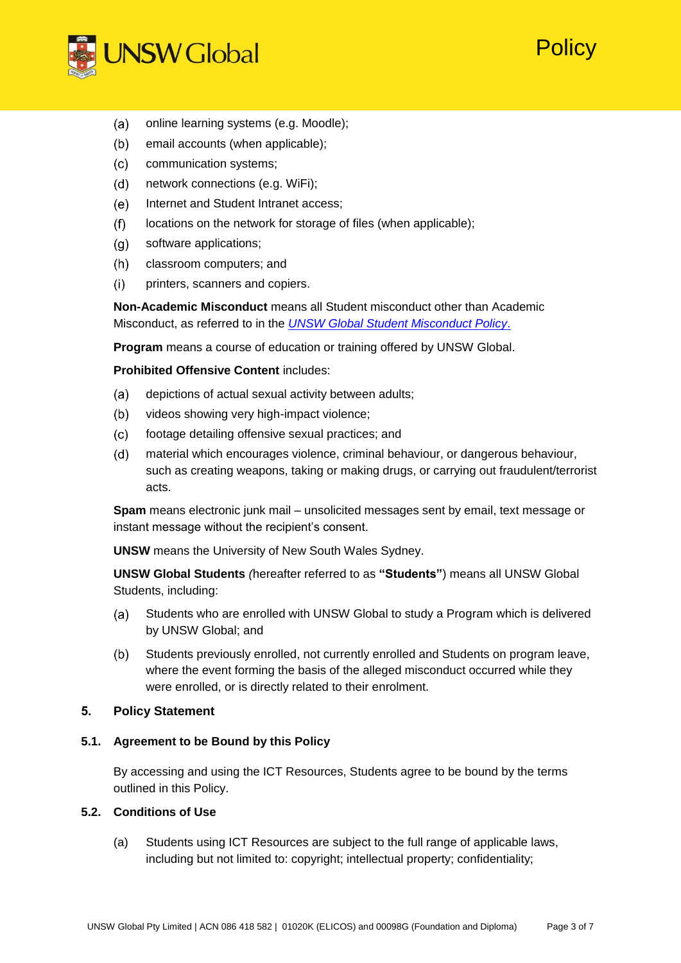

- online learning systems (e.g. Moodle);  $(a)$
- $(b)$ email accounts (when applicable);
- $(c)$ communication systems;
- $(d)$ network connections (e.g. WiFi);
- Internet and Student Intranet access;  $(e)$
- $(f)$ locations on the network for storage of files (when applicable);
- software applications;  $(q)$
- classroom computers; and  $(h)$
- $(i)$ printers, scanners and copiers.

**Non-Academic Misconduct** means all Student misconduct other than Academic Misconduct, as referred to in the *[UNSW Global Student Misconduct Policy](https://s3-ap-southeast-1.amazonaws.com/unswglobal-sg-wp1/wp-content/uploads/2018/08/01112830/Student-Misconduct-Policy.pdf)*.

'Olicy

**Program** means a course of education or training offered by UNSW Global.

# **Prohibited Offensive Content** includes:

- depictions of actual sexual activity between adults;  $(a)$
- $(b)$ videos showing very high-impact violence;
- $(c)$ footage detailing offensive sexual practices; and
- material which encourages violence, criminal behaviour, or dangerous behaviour,  $(d)$ such as creating weapons, taking or making drugs, or carrying out fraudulent/terrorist acts.

**Spam** means electronic junk mail – unsolicited messages sent by email, text message or instant message without the recipient's consent.

**UNSW** means the University of New South Wales Sydney.

**UNSW Global Students** *(*hereafter referred to as **"Students"**) means all UNSW Global Students, including:

- Students who are enrolled with UNSW Global to study a Program which is delivered  $(a)$ by UNSW Global; and
- $(b)$ Students previously enrolled, not currently enrolled and Students on program leave, where the event forming the basis of the alleged misconduct occurred while they were enrolled, or is directly related to their enrolment.

# **5. Policy Statement**

# **5.1. Agreement to be Bound by this Policy**

By accessing and using the ICT Resources, Students agree to be bound by the terms outlined in this Policy.

# **5.2. Conditions of Use**

(a) Students using ICT Resources are subject to the full range of applicable laws, including but not limited to: copyright; intellectual property; confidentiality;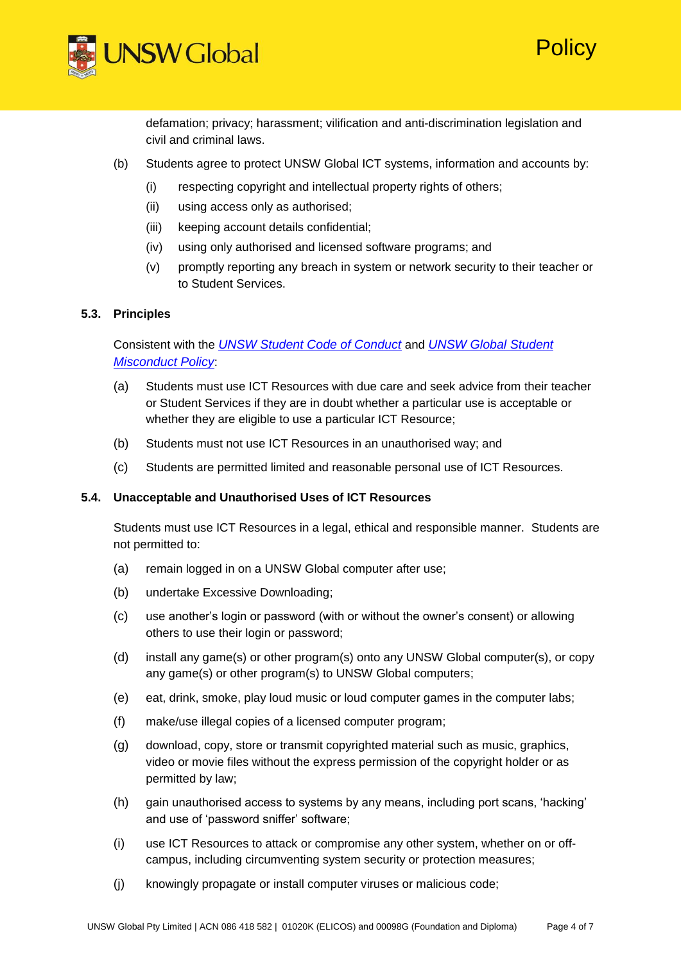



defamation; privacy; harassment; vilification and anti-discrimination legislation and civil and criminal laws.

- (b) Students agree to protect UNSW Global ICT systems, information and accounts by:
	- (i) respecting copyright and intellectual property rights of others;
	- (ii) using access only as authorised;
	- (iii) keeping account details confidential;
	- (iv) using only authorised and licensed software programs; and
	- (v) promptly reporting any breach in system or network security to their teacher or to Student Services.

### **5.3. Principles**

Consistent with the *[UNSW Student Code of Conduct](https://www.gs.unsw.edu.au/policy/documents/studentcodepolicy.pdf)* and *[UNSW Global Student](https://s3-ap-southeast-1.amazonaws.com/unswglobal-sg-wp1/wp-content/uploads/2018/08/01112830/Student-Misconduct-Policy.pdf) [Misconduct Policy](https://s3-ap-southeast-1.amazonaws.com/unswglobal-sg-wp1/wp-content/uploads/2018/08/01112830/Student-Misconduct-Policy.pdf)*:

- (a) Students must use ICT Resources with due care and seek advice from their teacher or Student Services if they are in doubt whether a particular use is acceptable or whether they are eligible to use a particular ICT Resource;
- (b) Students must not use ICT Resources in an unauthorised way; and
- (c) Students are permitted limited and reasonable personal use of ICT Resources.

#### **5.4. Unacceptable and Unauthorised Uses of ICT Resources**

Students must use ICT Resources in a legal, ethical and responsible manner. Students are not permitted to:

- (a) remain logged in on a UNSW Global computer after use;
- (b) undertake Excessive Downloading;
- (c) use another's login or password (with or without the owner's consent) or allowing others to use their login or password;
- (d) install any game(s) or other program(s) onto any UNSW Global computer(s), or copy any game(s) or other program(s) to UNSW Global computers;
- (e) eat, drink, smoke, play loud music or loud computer games in the computer labs;
- (f) make/use illegal copies of a licensed computer program;
- (g) download, copy, store or transmit copyrighted material such as music, graphics, video or movie files without the express permission of the copyright holder or as permitted by law;
- (h) gain unauthorised access to systems by any means, including port scans, 'hacking' and use of 'password sniffer' software;
- (i) use ICT Resources to attack or compromise any other system, whether on or offcampus, including circumventing system security or protection measures;
- (j) knowingly propagate or install computer viruses or malicious code;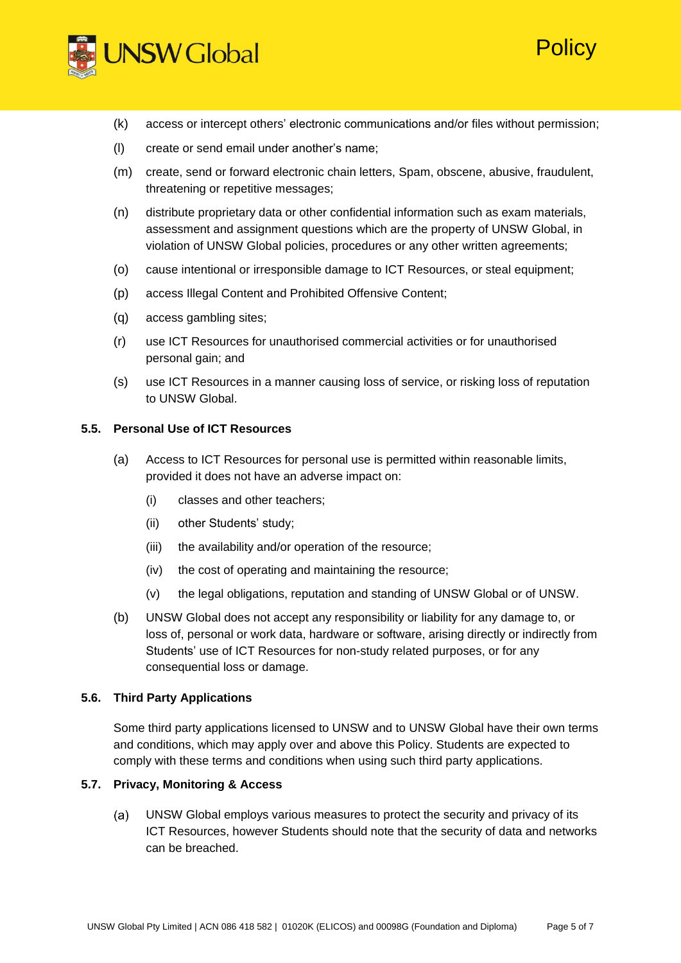

(k) access or intercept others' electronic communications and/or files without permission;

Policy

- (l) create or send email under another's name;
- (m) create, send or forward electronic chain letters, Spam, obscene, abusive, fraudulent, threatening or repetitive messages;
- (n) distribute proprietary data or other confidential information such as exam materials, assessment and assignment questions which are the property of UNSW Global, in violation of UNSW Global policies, procedures or any other written agreements;
- (o) cause intentional or irresponsible damage to ICT Resources, or steal equipment;
- (p) access Illegal Content and Prohibited Offensive Content;
- (q) access gambling sites;
- (r) use ICT Resources for unauthorised commercial activities or for unauthorised personal gain; and
- (s) use ICT Resources in a manner causing loss of service, or risking loss of reputation to UNSW Global.

### **5.5. Personal Use of ICT Resources**

- (a) Access to ICT Resources for personal use is permitted within reasonable limits, provided it does not have an adverse impact on:
	- (i) classes and other teachers;
	- (ii) other Students' study;
	- (iii) the availability and/or operation of the resource;
	- (iv) the cost of operating and maintaining the resource;
	- (v) the legal obligations, reputation and standing of UNSW Global or of UNSW.
- (b) UNSW Global does not accept any responsibility or liability for any damage to, or loss of, personal or work data, hardware or software, arising directly or indirectly from Students' use of ICT Resources for non-study related purposes, or for any consequential loss or damage.

#### **5.6. Third Party Applications**

Some third party applications licensed to UNSW and to UNSW Global have their own terms and conditions, which may apply over and above this Policy. Students are expected to comply with these terms and conditions when using such third party applications.

#### **5.7. Privacy, Monitoring & Access**

UNSW Global employs various measures to protect the security and privacy of its (a) ICT Resources, however Students should note that the security of data and networks can be breached.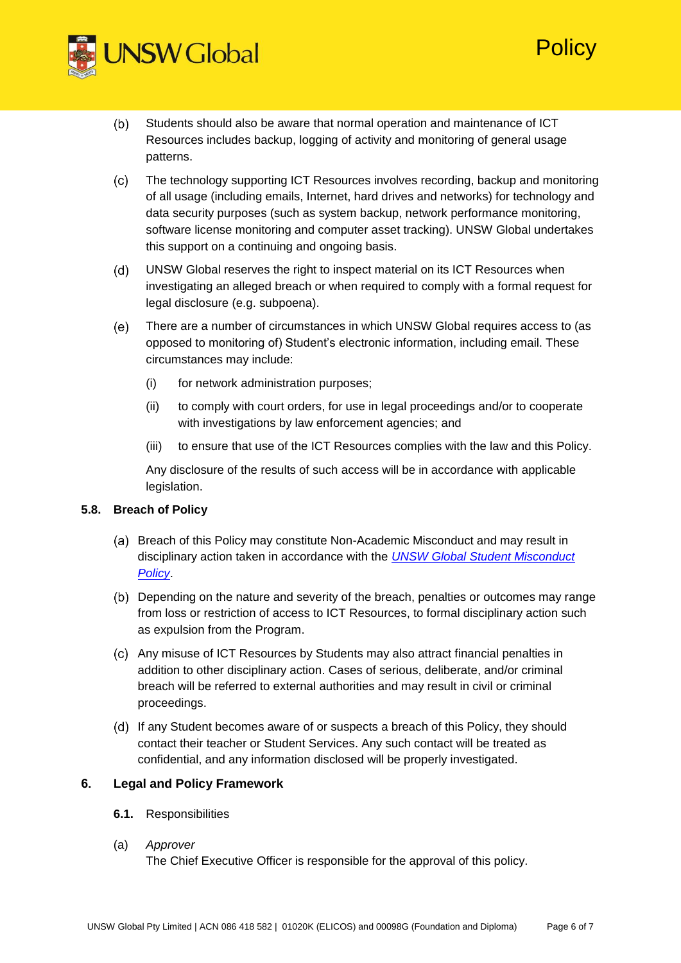

- Students should also be aware that normal operation and maintenance of ICT  $(b)$ Resources includes backup, logging of activity and monitoring of general usage patterns.
- $(c)$ The technology supporting ICT Resources involves recording, backup and monitoring of all usage (including emails, Internet, hard drives and networks) for technology and data security purposes (such as system backup, network performance monitoring, software license monitoring and computer asset tracking). UNSW Global undertakes this support on a continuing and ongoing basis.

**Policy** 

- $(d)$ UNSW Global reserves the right to inspect material on its ICT Resources when investigating an alleged breach or when required to comply with a formal request for legal disclosure (e.g. subpoena).
- $(e)$ There are a number of circumstances in which UNSW Global requires access to (as opposed to monitoring of) Student's electronic information, including email. These circumstances may include:
	- (i) for network administration purposes;
	- (ii) to comply with court orders, for use in legal proceedings and/or to cooperate with investigations by law enforcement agencies; and
	- (iii) to ensure that use of the ICT Resources complies with the law and this Policy.

Any disclosure of the results of such access will be in accordance with applicable legislation.

# **5.8. Breach of Policy**

- (a) Breach of this Policy may constitute Non-Academic Misconduct and may result in disciplinary action taken in accordance with the *[UNSW Global Student Misconduct](https://s3-ap-southeast-1.amazonaws.com/unswglobal-sg-wp1/wp-content/uploads/2018/08/01112830/Student-Misconduct-Policy.pdf)  [Policy](https://s3-ap-southeast-1.amazonaws.com/unswglobal-sg-wp1/wp-content/uploads/2018/08/01112830/Student-Misconduct-Policy.pdf)*.
- Depending on the nature and severity of the breach, penalties or outcomes may range from loss or restriction of access to ICT Resources, to formal disciplinary action such as expulsion from the Program.
- Any misuse of ICT Resources by Students may also attract financial penalties in addition to other disciplinary action. Cases of serious, deliberate, and/or criminal breach will be referred to external authorities and may result in civil or criminal proceedings.
- (d) If any Student becomes aware of or suspects a breach of this Policy, they should contact their teacher or Student Services. Any such contact will be treated as confidential, and any information disclosed will be properly investigated.

# **6. Legal and Policy Framework**

**6.1.** Responsibilities

# (a) *Approver*

The Chief Executive Officer is responsible for the approval of this policy.